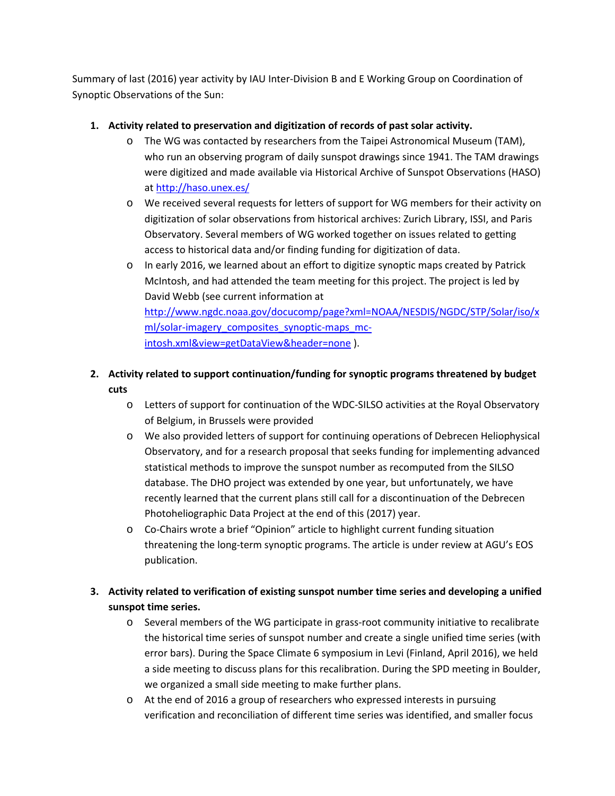Summary of last (2016) year activity by IAU Inter-Division B and E Working Group on Coordination of Synoptic Observations of the Sun:

### **1. Activity related to preservation and digitization of records of past solar activity.**

- o The WG was contacted by researchers from the Taipei Astronomical Museum (TAM), who run an observing program of daily sunspot drawings since 1941. The TAM drawings were digitized and made available via Historical Archive of Sunspot Observations (HASO) at<http://haso.unex.es/>
- o We received several requests for letters of support for WG members for their activity on digitization of solar observations from historical archives: Zurich Library, ISSI, and Paris Observatory. Several members of WG worked together on issues related to getting access to historical data and/or finding funding for digitization of data.
- o In early 2016, we learned about an effort to digitize synoptic maps created by Patrick McIntosh, and had attended the team meeting for this project. The project is led by David Webb (see current information at [http://www.ngdc.noaa.gov/docucomp/page?xml=NOAA/NESDIS/NGDC/STP/Solar/iso/x](http://www.ngdc.noaa.gov/docucomp/page?xml=NOAA/NESDIS/NGDC/STP/Solar/iso/xml/solar-imagery_composites_synoptic-maps_mc-intosh.xml&view=getDataView&header=none) [ml/solar-imagery\\_composites\\_synoptic-maps\\_mc](http://www.ngdc.noaa.gov/docucomp/page?xml=NOAA/NESDIS/NGDC/STP/Solar/iso/xml/solar-imagery_composites_synoptic-maps_mc-intosh.xml&view=getDataView&header=none)[intosh.xml&view=getDataView&header=none](http://www.ngdc.noaa.gov/docucomp/page?xml=NOAA/NESDIS/NGDC/STP/Solar/iso/xml/solar-imagery_composites_synoptic-maps_mc-intosh.xml&view=getDataView&header=none) ).

# **2. Activity related to support continuation/funding for synoptic programs threatened by budget cuts**

- o Letters of support for continuation of the WDC-SILSO activities at the Royal Observatory of Belgium, in Brussels were provided
- o We also provided letters of support for continuing operations of Debrecen Heliophysical Observatory, and for a research proposal that seeks funding for implementing advanced statistical methods to improve the sunspot number as recomputed from the SILSO database. The DHO project was extended by one year, but unfortunately, we have recently learned that the current plans still call for a discontinuation of the Debrecen Photoheliographic Data Project at the end of this (2017) year.
- o Co-Chairs wrote a brief "Opinion" article to highlight current funding situation threatening the long-term synoptic programs. The article is under review at AGU's EOS publication.

# **3. Activity related to verification of existing sunspot number time series and developing a unified sunspot time series.**

- o Several members of the WG participate in grass-root community initiative to recalibrate the historical time series of sunspot number and create a single unified time series (with error bars). During the Space Climate 6 symposium in Levi (Finland, April 2016), we held a side meeting to discuss plans for this recalibration. During the SPD meeting in Boulder, we organized a small side meeting to make further plans.
- o At the end of 2016 a group of researchers who expressed interests in pursuing verification and reconciliation of different time series was identified, and smaller focus